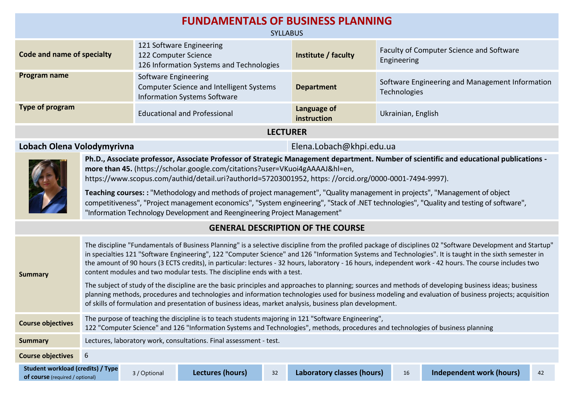| <b>FUNDAMENTALS OF BUSINESS PLANNING</b>                                                                                                                                                                                                                                                                                                                                                                                                                          |                                                                                                                |                            |                                                                 |  |  |  |  |
|-------------------------------------------------------------------------------------------------------------------------------------------------------------------------------------------------------------------------------------------------------------------------------------------------------------------------------------------------------------------------------------------------------------------------------------------------------------------|----------------------------------------------------------------------------------------------------------------|----------------------------|-----------------------------------------------------------------|--|--|--|--|
|                                                                                                                                                                                                                                                                                                                                                                                                                                                                   | <b>SYLLABUS</b>                                                                                                |                            |                                                                 |  |  |  |  |
| Code and name of specialty                                                                                                                                                                                                                                                                                                                                                                                                                                        | 121 Software Engineering<br>122 Computer Science<br>126 Information Systems and Technologies                   | Institute / faculty        | Faculty of Computer Science and Software<br>Engineering         |  |  |  |  |
| Program name                                                                                                                                                                                                                                                                                                                                                                                                                                                      | Software Engineering<br><b>Computer Science and Intelligent Systems</b><br><b>Information Systems Software</b> | <b>Department</b>          | Software Engineering and Management Information<br>Technologies |  |  |  |  |
| <b>Type of program</b>                                                                                                                                                                                                                                                                                                                                                                                                                                            | <b>Educational and Professional</b>                                                                            | Language of<br>instruction | Ukrainian, English                                              |  |  |  |  |
|                                                                                                                                                                                                                                                                                                                                                                                                                                                                   | <b>LECTURER</b>                                                                                                |                            |                                                                 |  |  |  |  |
| Lobach Olena Volodymyrivna<br>Elena.Lobach@khpi.edu.ua                                                                                                                                                                                                                                                                                                                                                                                                            |                                                                                                                |                            |                                                                 |  |  |  |  |
| Ph.D., Associate professor, Associate Professor of Strategic Management department. Number of scientific and educational publications -<br>more than 45. (https://scholar.google.com/citations?user=VKuoi4gAAAAJ&hl=en,<br>https://www.scopus.com/authid/detail.uri?authorId=57203001952, https://orcid.org/0000-0001-7494-9997).<br>Teaching courses: : "Methodology and methods of project management", "Quality management in projects", "Management of object |                                                                                                                |                            |                                                                 |  |  |  |  |
| competitiveness", "Project management economics", "System engineering", "Stack of .NET technologies", "Quality and testing of software",<br>"Information Technology Development and Reengineering Project Management"                                                                                                                                                                                                                                             |                                                                                                                |                            |                                                                 |  |  |  |  |

## **GENERAL DESCRIPTION OF THE COURSE**

| <b>Summary</b>                                                                     | The discipline "Fundamentals of Business Planning" is a selective discipline from the profiled package of disciplines 02 "Software Development and Startup"<br>in specialties 121 "Software Engineering", 122 "Computer Science" and 126 "Information Systems and Technologies". It is taught in the sixth semester in<br>the amount of 90 hours (3 ECTS credits), in particular: lectures - 32 hours, laboratory - 16 hours, independent work - 42 hours. The course includes two<br>content modules and two modular tests. The discipline ends with a test.<br>The subject of study of the discipline are the basic principles and approaches to planning; sources and methods of developing business ideas; business<br>planning methods, procedures and technologies and information technologies used for business modeling and evaluation of business projects; acquisition<br>of skills of formulation and presentation of business ideas, market analysis, business plan development. |              |                  |    |                            |    |                          |    |
|------------------------------------------------------------------------------------|-----------------------------------------------------------------------------------------------------------------------------------------------------------------------------------------------------------------------------------------------------------------------------------------------------------------------------------------------------------------------------------------------------------------------------------------------------------------------------------------------------------------------------------------------------------------------------------------------------------------------------------------------------------------------------------------------------------------------------------------------------------------------------------------------------------------------------------------------------------------------------------------------------------------------------------------------------------------------------------------------|--------------|------------------|----|----------------------------|----|--------------------------|----|
| <b>Course objectives</b>                                                           | The purpose of teaching the discipline is to teach students majoring in 121 "Software Engineering",<br>122 "Computer Science" and 126 "Information Systems and Technologies", methods, procedures and technologies of business planning                                                                                                                                                                                                                                                                                                                                                                                                                                                                                                                                                                                                                                                                                                                                                       |              |                  |    |                            |    |                          |    |
| <b>Summary</b>                                                                     | Lectures, laboratory work, consultations. Final assessment - test.                                                                                                                                                                                                                                                                                                                                                                                                                                                                                                                                                                                                                                                                                                                                                                                                                                                                                                                            |              |                  |    |                            |    |                          |    |
| <b>Course objectives</b>                                                           | 6                                                                                                                                                                                                                                                                                                                                                                                                                                                                                                                                                                                                                                                                                                                                                                                                                                                                                                                                                                                             |              |                  |    |                            |    |                          |    |
| <b>Student workload (credits) / Type</b><br><b>of course</b> (required / optional) |                                                                                                                                                                                                                                                                                                                                                                                                                                                                                                                                                                                                                                                                                                                                                                                                                                                                                                                                                                                               | 3 / Optional | Lectures (hours) | 32 | Laboratory classes (hours) | 16 | Independent work (hours) | 42 |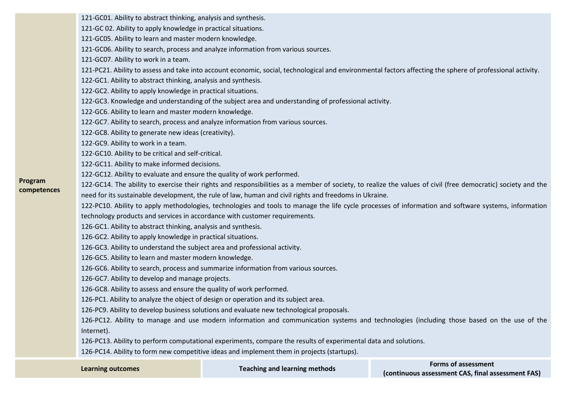121-GC01. Ability to abstract thinking, analysis and synthesis.

121-GC 02. Ability to apply knowledge in practical situations.

121-GC05. Ability to learn and master modern knowledge.

121-GC06. Ability to search, process and analyze information from various sources.

121-GC07. Ability to work in a team.

121-PC21. Ability to assess and take into account economic, social, technological and environmental factors affecting the sphere of professional activity.

122-GC1. Ability to abstract thinking, analysis and synthesis.

122-GC2. Ability to apply knowledge in practical situations.

122-GC3. Knowledge and understanding of the subject area and understanding of professional activity.

122-GC6. Ability to learn and master modern knowledge.

122-GC7. Ability to search, process and analyze information from various sources.

122-GC8. Ability to generate new ideas (creativity).

122-GC9. Ability to work in a team.

**Program competences** 122-GC10. Ability to be critical and self-critical.

122-GC11. Ability to make informed decisions.

122-GC12. Ability to evaluate and ensure the quality of work performed.

122-GC14. The ability to exercise their rights and responsibilities as a member of society, to realize the values of civil (free democratic) society and the need for its sustainable development, the rule of law, human and civil rights and freedoms in Ukraine.

122-PC10. Ability to apply methodologies, technologies and tools to manage the life cycle processes of information and software systems, information

technology products and services in accordance with customer requirements.

126-GC1. Ability to abstract thinking, analysis and synthesis.

126-GC2. Ability to apply knowledge in practical situations.

126-GC3. Ability to understand the subject area and professional activity.

126-GC5. Ability to learn and master modern knowledge.

126-GC6. Ability to search, process and summarize information from various sources.

126-GC7. Ability to develop and manage projects.

126-GC8. Ability to assess and ensure the quality of work performed.

126-PC1. Ability to analyze the object of design or operation and its subject area.

126-PC9. Ability to develop business solutions and evaluate new technological proposals.

126-PC12. Ability to manage and use modern information and communication systems and technologies (including those based on the use of the Internet).

126-PC13. Ability to perform computational experiments, compare the results of experimental data and solutions.

126-PC14. Ability to form new competitive ideas and implement them in projects (startups).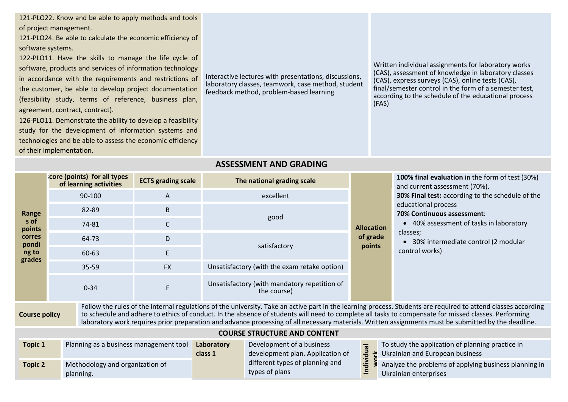121-PLO22. Know and be able to apply methods and tools of project management.

121-PLO24. Be able to calculate the economic efficiency of software systems.

122-PLO11. Have the skills to manage the life cycle of software, products and services of information technology in accordance with the requirements and restrictions of the customer, be able to develop project documentation (feasibility study, terms of reference, business plan, agreement, contract, contract).

126-PLO11. Demonstrate the ability to develop a feasibility study for the development of information systems and technologies and be able to assess the economic efficiency of their implementation.

Interactive lectures with presentations, discussions, laboratory classes, teamwork, case method, student feedback method, problem-based learning

Written individual assignments for laboratory works (CAS), assessment of knowledge in laboratory classes (CAS), express surveys (CAS), online tests (CAS), final/semester control in the form of a semester test, according to the schedule of the educational process (FAS)

## **ASSESSMENT AND GRADING**

|                                                                                                                                                                                                                                                                                                                                                                                                                                                                                                        | core (points) for all types<br>of learning activities | <b>ECTS</b> grading scale | The national grading scale                                  |                               | 100% final evaluation in the form of test (30%)<br>and current assessment (70%).                                                                                                                                        |  |  |
|--------------------------------------------------------------------------------------------------------------------------------------------------------------------------------------------------------------------------------------------------------------------------------------------------------------------------------------------------------------------------------------------------------------------------------------------------------------------------------------------------------|-------------------------------------------------------|---------------------------|-------------------------------------------------------------|-------------------------------|-------------------------------------------------------------------------------------------------------------------------------------------------------------------------------------------------------------------------|--|--|
|                                                                                                                                                                                                                                                                                                                                                                                                                                                                                                        | $90 - 100$                                            | A                         | excellent                                                   |                               | 30% Final test: according to the schedule of the<br>educational process<br>70% Continuous assessment:<br>• 40% assessment of tasks in laboratory<br>classes;<br>• 30% intermediate control (2 modular<br>control works) |  |  |
| Range                                                                                                                                                                                                                                                                                                                                                                                                                                                                                                  | 82-89                                                 | B                         |                                                             | <b>Allocation</b><br>of grade |                                                                                                                                                                                                                         |  |  |
| s of<br>points                                                                                                                                                                                                                                                                                                                                                                                                                                                                                         | 74-81                                                 |                           | good                                                        |                               |                                                                                                                                                                                                                         |  |  |
| corres<br>pondi                                                                                                                                                                                                                                                                                                                                                                                                                                                                                        | 64-73                                                 | D                         |                                                             |                               |                                                                                                                                                                                                                         |  |  |
| ng to<br>grades                                                                                                                                                                                                                                                                                                                                                                                                                                                                                        | 60-63                                                 | E                         | satisfactory                                                | points                        |                                                                                                                                                                                                                         |  |  |
|                                                                                                                                                                                                                                                                                                                                                                                                                                                                                                        | $35 - 59$                                             | <b>FX</b>                 | Unsatisfactory (with the exam retake option)                |                               |                                                                                                                                                                                                                         |  |  |
|                                                                                                                                                                                                                                                                                                                                                                                                                                                                                                        | $0 - 34$                                              | F                         | Unsatisfactory (with mandatory repetition of<br>the course) |                               |                                                                                                                                                                                                                         |  |  |
| Follow the rules of the internal regulations of the university. Take an active part in the learning process. Students are required to attend classes according<br>to schedule and adhere to ethics of conduct. In the absence of students will need to complete all tasks to compensate for missed classes. Performing<br><b>Course policy</b><br>laboratory work requires prior preparation and advance processing of all necessary materials. Written assignments must be submitted by the deadline. |                                                       |                           |                                                             |                               |                                                                                                                                                                                                                         |  |  |
| <b>COURSE STRUCTURE AND CONTENT</b>                                                                                                                                                                                                                                                                                                                                                                                                                                                                    |                                                       |                           |                                                             |                               |                                                                                                                                                                                                                         |  |  |

| <b>Topic 1</b> | Planning as a business management tool       | Laboratory<br>class 1 | Development of a business<br>development plan. Application of<br>different types of planning and<br>types of plans |   | To study the application of planning practice in<br>$\frac{3}{5}$ $\frac{3}{5}$ Ukrainian and European business |
|----------------|----------------------------------------------|-----------------------|--------------------------------------------------------------------------------------------------------------------|---|-----------------------------------------------------------------------------------------------------------------|
| <b>Topic 2</b> | Methodology and organization of<br>planning. |                       |                                                                                                                    | 드 | A $\frac{2}{5}$ > Analyze the problems of applying business planning in<br>Ukrainian enterprises                |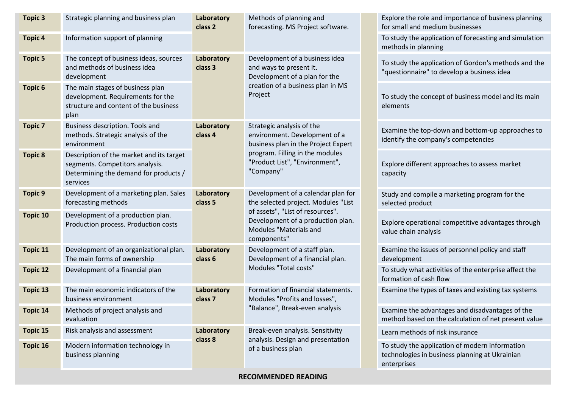| <b>Topic 3</b>  | Strategic planning and business plan                                                                                             | Laboratory<br>class 2 | Methods of planning and<br>forecasting. MS Project software.                                                                                                                        |  | Explore the role and importance of business planning<br>for small and medium businesses                         |
|-----------------|----------------------------------------------------------------------------------------------------------------------------------|-----------------------|-------------------------------------------------------------------------------------------------------------------------------------------------------------------------------------|--|-----------------------------------------------------------------------------------------------------------------|
| <b>Topic 4</b>  | Information support of planning                                                                                                  |                       |                                                                                                                                                                                     |  | To study the application of forecasting and simulation<br>methods in planning                                   |
| <b>Topic 5</b>  | The concept of business ideas, sources<br>and methods of business idea<br>development                                            | Laboratory<br>class 3 | Development of a business idea<br>and ways to present it.<br>Development of a plan for the                                                                                          |  | To study the application of Gordon's methods and the<br>"questionnaire" to develop a business idea              |
| <b>Topic 6</b>  | The main stages of business plan<br>development. Requirements for the<br>structure and content of the business<br>plan           |                       | creation of a business plan in MS<br>Project                                                                                                                                        |  | To study the concept of business model and its main<br>elements                                                 |
| <b>Topic 7</b>  | Business description. Tools and<br>methods. Strategic analysis of the<br>environment                                             | Laboratory<br>class 4 | Strategic analysis of the<br>environment. Development of a<br>business plan in the Project Expert<br>program. Filling in the modules<br>"Product List", "Environment",<br>"Company" |  | Examine the top-down and bottom-up approaches to<br>identify the company's competencies                         |
| <b>Topic 8</b>  | Description of the market and its target<br>segments. Competitors analysis.<br>Determining the demand for products /<br>services |                       |                                                                                                                                                                                     |  | Explore different approaches to assess market<br>capacity                                                       |
| <b>Topic 9</b>  | Development of a marketing plan. Sales<br>forecasting methods                                                                    | Laboratory<br>class 5 | Development of a calendar plan for<br>the selected project. Modules "List                                                                                                           |  | Study and compile a marketing program for the<br>selected product                                               |
| Topic 10        | Development of a production plan.<br>Production process. Production costs                                                        |                       | of assets", "List of resources".<br>Development of a production plan.<br>Modules "Materials and<br>components"                                                                      |  | Explore operational competitive advantages through<br>value chain analysis                                      |
| Topic 11        | Development of an organizational plan.<br>The main forms of ownership                                                            | Laboratory<br>class 6 | Development of a staff plan.<br>Development of a financial plan.<br>Modules "Total costs"                                                                                           |  | Examine the issues of personnel policy and staff<br>development                                                 |
| <b>Topic 12</b> | Development of a financial plan                                                                                                  |                       |                                                                                                                                                                                     |  | To study what activities of the enterprise affect the<br>formation of cash flow                                 |
| <b>Topic 13</b> | The main economic indicators of the<br>business environment                                                                      | Laboratory<br>class 7 | Formation of financial statements.<br>Modules "Profits and losses",                                                                                                                 |  | Examine the types of taxes and existing tax systems                                                             |
| <b>Topic 14</b> | Methods of project analysis and<br>evaluation                                                                                    |                       | "Balance", Break-even analysis                                                                                                                                                      |  | Examine the advantages and disadvantages of the<br>method based on the calculation of net present value         |
| <b>Topic 15</b> | Risk analysis and assessment                                                                                                     | Laboratory<br>class 8 | Break-even analysis. Sensitivity<br>analysis. Design and presentation                                                                                                               |  | Learn methods of risk insurance                                                                                 |
| <b>Topic 16</b> | Modern information technology in<br>business planning                                                                            |                       | of a business plan                                                                                                                                                                  |  | To study the application of modern information<br>technologies in business planning at Ukrainian<br>enterprises |

**RECOMMENDED READING**